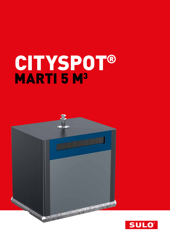# CITYSPOT® MARTI 5 M<sup>3</sup>



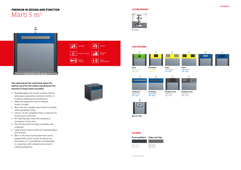LEVEL MEASUREMENT

PAY AS YOU

# PREMIUM IN DESIGN AND FUNCTION Marti 5 m<sup>3</sup>

Ã

BILATERAL

莆

 $\bullet$ 

ACCESS CONTROL

**VERTICAL** 

r

トッ)









## **This solid and puristic metal bank allows the optimal use of the full volume and obstacle-free insertion of large-sized recyclables**

NEW STATE OF HEAT AND A RESIDENCE OF

- Rounded edges and smooth surfaces without dead spaces guarantee maximum comfort in handling, emptying and maintenance
- **Advanced ergonomics due to reduced** throw-in-height
- Best ratio size-useable-space thanks to double chains guided by rollers
- **Interior can be completely filled, no obstacle for** throwing and collecting
- 90° opening flaps mean that emptying is completely friction-free
- The ultimate bank for large recyclables and cardboard
- Large metal surfaces allow full individualisation with stickers
- **Marti is the only recycling bank that can be** equiped with access control for pay as you throw policy. It´s moveability is an advantage in comparison with underground and semiundergroundsystem



DISABILITY ACCESS  $\frac{1}{\sqrt{2}}$  of



#### LIFTING DEVICES



Kinshofer

## SLOT SYSTEMS\*

\* All slot Systems on demand





**Residual waste** Slate Grey RAL 7015



**Cardboard** Signal Blue RAL 5005



**Residual waste** Slate Grey RAL 7015



**Paper** Signal Blue RAL 5005

**Big user Flap**

## **COLOURS**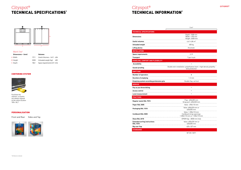

#### Marti 5m<sup>3</sup>

### CENTERING SYSTEM



Facilitate the stations; so banks are always aligned at the same location 100 x 36,7

# Cityspot® TECHNICAL SPECIFICATIONS\*

## Cityspot® TECHNICAL INFORMATION\*



| Dimensions $\sim$ (mm) |      | <b>Volumes</b>                  |     |
|------------------------|------|---------------------------------|-----|
| A Width                | 1911 | Useful Volumes ~ $[m^3]$ 4.84   |     |
| <b>B</b> Height        | 2028 | Unloaded weight (kg)            | 400 |
| C Depth                | 1861 | Space requirements $[m^2]$ 3,56 |     |

| $5 \text{ m}^3$                                                               |
|-------------------------------------------------------------------------------|
|                                                                               |
| Depth: 1508 mm<br>Width: 1190 mm<br>Height: 2028 mm                           |
| $4,61 - 4,84$ m <sup>3</sup>                                                  |
| 400 kg                                                                        |
| Kinshofer                                                                     |
|                                                                               |
| 2,19                                                                          |
| 7 per truck                                                                   |
|                                                                               |
| $\blacksquare$                                                                |
| tion: polyethylene foam + high density polyethy-<br>lene protection           |
|                                                                               |
| ŧ                                                                             |
| $1-2$ min                                                                     |
| Double flap, vertical                                                         |
|                                                                               |
| ٠                                                                             |
|                                                                               |
|                                                                               |
|                                                                               |
| Flap: 620x305 mm<br>Strap port: 620x330 mm                                    |
| Valve: 490x110 mm                                                             |
| Valve: 400x230 mm or<br>620x305 mm                                            |
| Valve: 1 200x110 mm<br>Cardboard strap openings:<br>00x110 mm or 1 530x110 mm |
| EPDM flap - Ø200 mm hole                                                      |
| Valve: 400x230 mm or<br>620x305 mm                                            |
| 620 x 327 mm                                                                  |
|                                                                               |

| Depth: 1508 mm<br>Width: 1190 mm<br>Height: 2028 mm                                     |  |  |
|-----------------------------------------------------------------------------------------|--|--|
| 4,61-4,84 $m3$                                                                          |  |  |
| 400 kg                                                                                  |  |  |
| Kinshofer                                                                               |  |  |
|                                                                                         |  |  |
| 2,19                                                                                    |  |  |
| 7 per truck                                                                             |  |  |
|                                                                                         |  |  |
| ä                                                                                       |  |  |
| Double skin installation: polyethylene foam + high density polyethy-<br>lene protection |  |  |
|                                                                                         |  |  |
| ŧ                                                                                       |  |  |
| $1-2$ min                                                                               |  |  |
| Double flap, vertical                                                                   |  |  |
|                                                                                         |  |  |
| ٠                                                                                       |  |  |
| ٠                                                                                       |  |  |
| ٠                                                                                       |  |  |
|                                                                                         |  |  |
| Flap: 620x305 mm<br>Strap port: 620x330 mm                                              |  |  |
| Valve: 490x110 mm                                                                       |  |  |
| Valve: 400x230 mm or<br>620x305 mm                                                      |  |  |
| Valve: 1 200x110 mm<br>Cardboard strap openings:<br>1 200x110 mm or 1 530x110 mm        |  |  |
| EPDM flap - Ø200 mm hole                                                                |  |  |
| Valve: 400x230 mm or<br>620x305 mm                                                      |  |  |
| 620 x 327 mm                                                                            |  |  |
|                                                                                         |  |  |

NF EN 13071

Front and Rear Sides and Top



#### PERSONALISATION